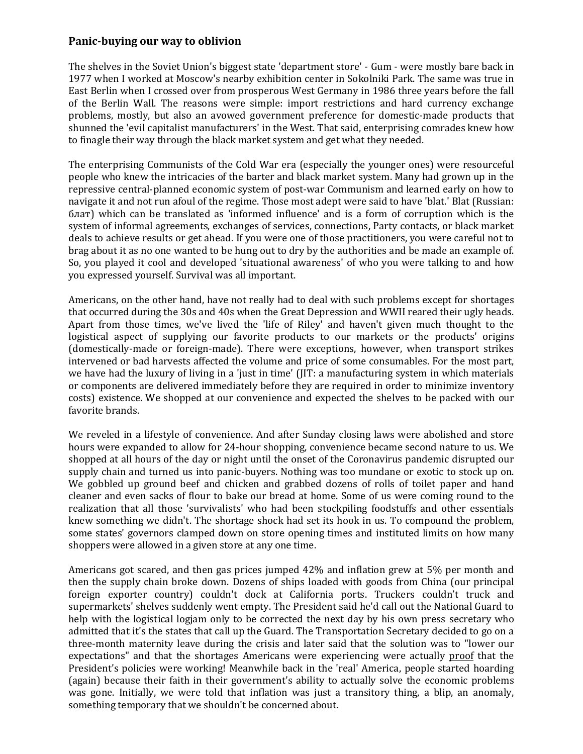## **Panic-buying our way to oblivion**

The shelves in the Soviet Union's biggest state 'department store' - Gum - were mostly bare back in 1977 when I worked at Moscow's nearby exhibition center in Sokolniki Park. The same was true in East Berlin when I crossed over from prosperous West Germany in 1986 three years before the fall of the Berlin Wall. The reasons were simple: import restrictions and hard currency exchange problems, mostly, but also an avowed government preference for domestic-made products that shunned the 'evil capitalist manufacturers' in the West. That said, enterprising comrades knew how to finagle their way through the black market system and get what they needed.

The enterprising Communists of the Cold War era (especially the younger ones) were resourceful people who knew the intricacies of the barter and black market system. Many had grown up in the repressive central-planned economic system of post-war Communism and learned early on how to navigate it and not run afoul of the regime. Those most adept were said to have 'blat.' Blat (Russian: блат) which can be translated as 'informed influence' and is a form of corruption which is the system of informal agreements, exchanges of services, connections, Party contacts, or black market deals to achieve results or get ahead. If you were one of those practitioners, you were careful not to brag about it as no one wanted to be hung out to dry by the authorities and be made an example of. So, you played it cool and developed 'situational awareness' of who you were talking to and how you expressed yourself. Survival was all important.

Americans, on the other hand, have not really had to deal with such problems except for shortages that occurred during the 30s and 40s when the Great Depression and WWII reared their ugly heads. Apart from those times, we've lived the 'life of Riley' and haven't given much thought to the logistical aspect of supplying our favorite products to our markets or the products' origins (domestically-made or foreign-made). There were exceptions, however, when transport strikes intervened or bad harvests affected the volume and price of some consumables. For the most part, we have had the luxury of living in a 'just in time' (JIT: a manufacturing system in which materials or components are delivered immediately before they are required in order to minimize inventory costs) existence. We shopped at our convenience and expected the shelves to be packed with our favorite brands.

We reveled in a lifestyle of convenience. And after Sunday closing laws were abolished and store hours were expanded to allow for 24-hour shopping, convenience became second nature to us. We shopped at all hours of the day or night until the onset of the Coronavirus pandemic disrupted our supply chain and turned us into panic-buyers. Nothing was too mundane or exotic to stock up on. We gobbled up ground beef and chicken and grabbed dozens of rolls of toilet paper and hand cleaner and even sacks of flour to bake our bread at home. Some of us were coming round to the realization that all those 'survivalists' who had been stockpiling foodstuffs and other essentials knew something we didn't. The shortage shock had set its hook in us. To compound the problem, some states' governors clamped down on store opening times and instituted limits on how many shoppers were allowed in a given store at any one time.

Americans got scared, and then gas prices jumped 42% and inflation grew at 5% per month and then the supply chain broke down. Dozens of ships loaded with goods from China (our principal foreign exporter country) couldn't dock at California ports. Truckers couldn't truck and supermarkets' shelves suddenly went empty. The President said he'd call out the National Guard to help with the logistical logjam only to be corrected the next day by his own press secretary who admitted that it's the states that call up the Guard. The Transportation Secretary decided to go on a three-month maternity leave during the crisis and later said that the solution was to "lower our expectations" and that the shortages Americans were experiencing were actually proof that the President's policies were working! Meanwhile back in the 'real' America, people started hoarding (again) because their faith in their government's ability to actually solve the economic problems was gone. Initially, we were told that inflation was just a transitory thing, a blip, an anomaly, something temporary that we shouldn't be concerned about.